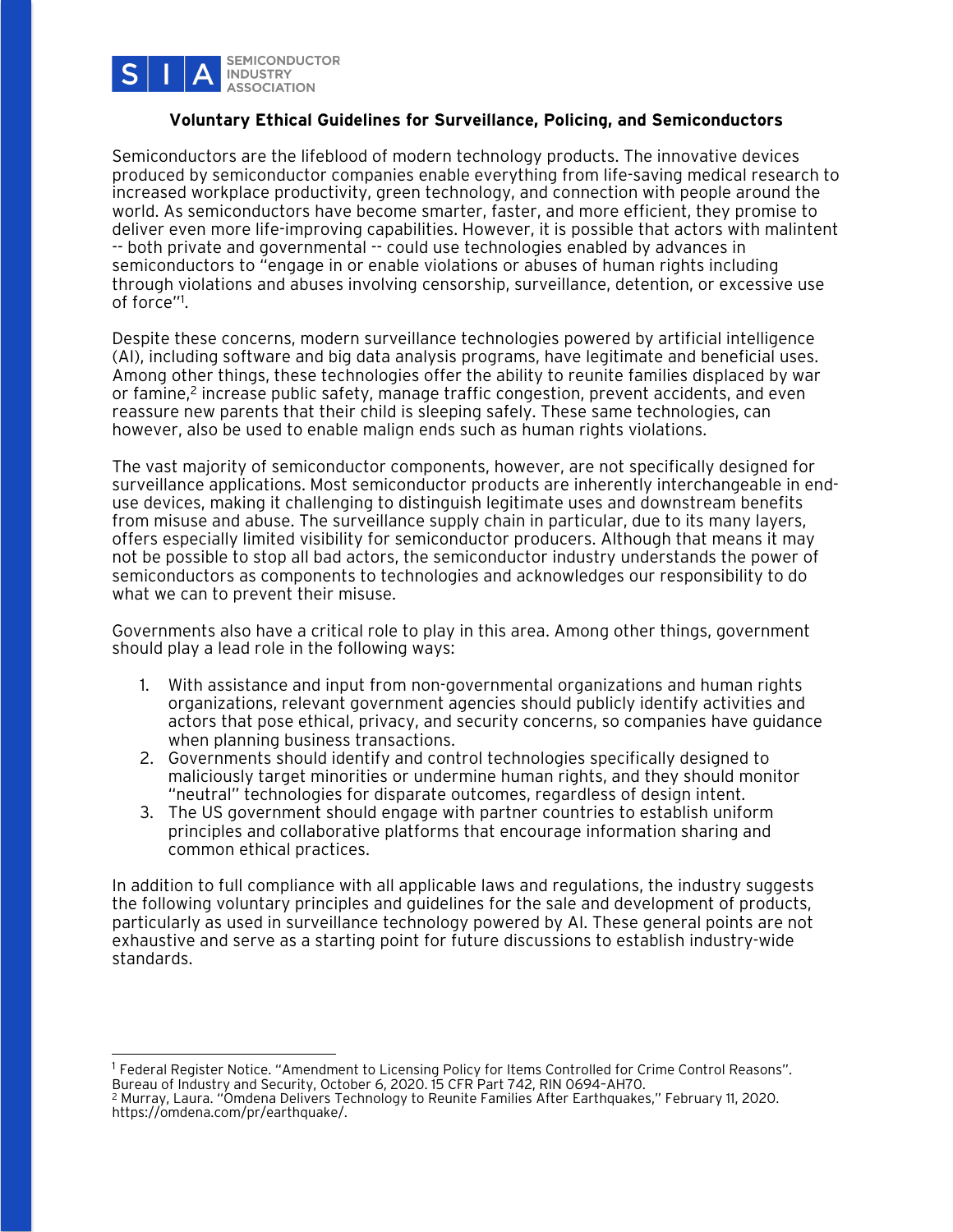

## **Voluntary Ethical Guidelines for Surveillance, Policing, and Semiconductors**

Semiconductors are the lifeblood of modern technology products. The innovative devices produced by semiconductor companies enable everything from life-saving medical research to increased workplace productivity, green technology, and connection with people around the world. As semiconductors have become smarter, faster, and more efficient, they promise to deliver even more life-improving capabilities. However, it is possible that actors with malintent -- both private and governmental -- could use technologies enabled by advances in semiconductors to "engage in or enable violations or abuses of human rights including through violations and abuses involving censorship, surveillance, detention, or excessive use of force"1 .

Despite these concerns, modern surveillance technologies powered by artificial intelligence (AI), including software and big data analysis programs, have legitimate and beneficial uses. Among other things, these technologies offer the ability to reunite families displaced by war or famine,2 increase public safety, manage traffic congestion, prevent accidents, and even reassure new parents that their child is sleeping safely. These same technologies, can however, also be used to enable malign ends such as human rights violations.

The vast majority of semiconductor components, however, are not specifically designed for surveillance applications. Most semiconductor products are inherently interchangeable in enduse devices, making it challenging to distinguish legitimate uses and downstream benefits from misuse and abuse. The surveillance supply chain in particular, due to its many layers, offers especially limited visibility for semiconductor producers. Although that means it may not be possible to stop all bad actors, the semiconductor industry understands the power of semiconductors as components to technologies and acknowledges our responsibility to do what we can to prevent their misuse.

Governments also have a critical role to play in this area. Among other things, government should play a lead role in the following ways:

- 1. With assistance and input from non-governmental organizations and human rights organizations, relevant government agencies should publicly identify activities and actors that pose ethical, privacy, and security concerns, so companies have guidance when planning business transactions.
- 2. Governments should identify and control technologies specifically designed to maliciously target minorities or undermine human rights, and they should monitor "neutral" technologies for disparate outcomes, regardless of design intent.
- 3. The US government should engage with partner countries to establish uniform principles and collaborative platforms that encourage information sharing and common ethical practices.

In addition to full compliance with all applicable laws and regulations, the industry suggests the following voluntary principles and guidelines for the sale and development of products, particularly as used in surveillance technology powered by AI. These general points are not exhaustive and serve as a starting point for future discussions to establish industry-wide standards.

<sup>&</sup>lt;sup>1</sup> Federal Register Notice. "Amendment to Licensing Policy for Items Controlled for Crime Control Reasons". Bureau of Industry and Security, October 6, 2020. 15 CFR Part 742, RIN 0694–AH70.

<sup>2</sup> Murray, Laura. "Omdena Delivers Technology to Reunite Families After Earthquakes," February 11, 2020. https://omdena.com/pr/earthquake/.